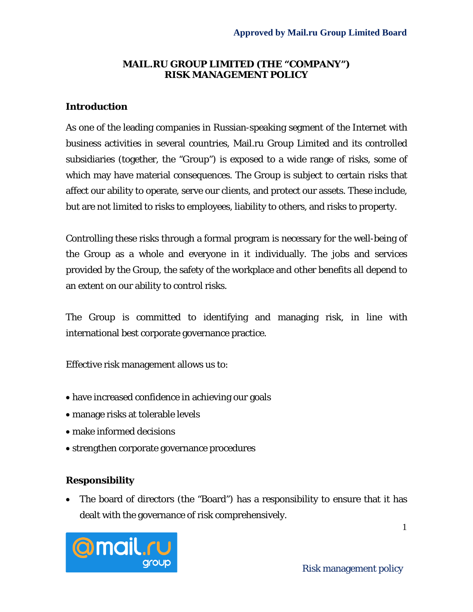#### **MAIL.RU GROUP LIMITED (THE "COMPANY") RISK MANAGEMENT POLICY**

#### **Introduction**

As one of the leading companies in Russian-speaking segment of the Internet with business activities in several countries, Mail.ru Group Limited and its controlled subsidiaries (together, the "Group") is exposed to a wide range of risks, some of which may have material consequences. The Group is subject to certain risks that affect our ability to operate, serve our clients, and protect our assets. These include, but are not limited to risks to employees, liability to others, and risks to property.

Controlling these risks through a formal program is necessary for the well-being of the Group as a whole and everyone in it individually. The jobs and services provided by the Group, the safety of the workplace and other benefits all depend to an extent on our ability to control risks.

The Group is committed to identifying and managing risk, in line with international best corporate governance practice.

Effective risk management allows us to:

- have increased confidence in achieving our goals
- manage risks at tolerable levels
- make informed decisions
- strengthen corporate governance procedures

#### **Responsibility**

• The board of directors (the "Board") has a responsibility to ensure that it has dealt with the governance of risk comprehensively.



1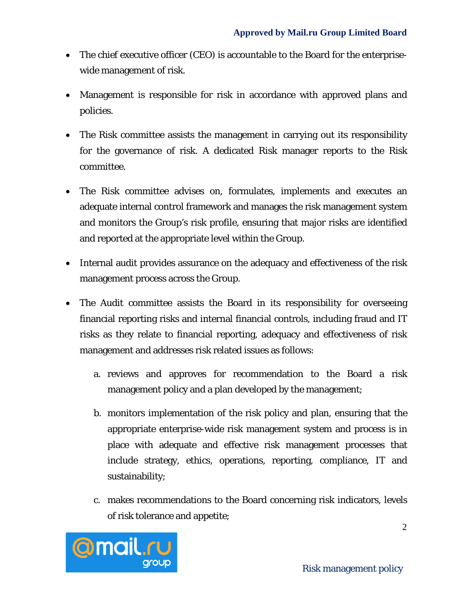- The chief executive officer (CEO) is accountable to the Board for the enterprisewide management of risk.
- Management is responsible for risk in accordance with approved plans and policies.
- The Risk committee assists the management in carrying out its responsibility for the governance of risk. A dedicated Risk manager reports to the Risk committee.
- The Risk committee advises on, formulates, implements and executes an adequate internal control framework and manages the risk management system and monitors the Group's risk profile, ensuring that major risks are identified and reported at the appropriate level within the Group.
- Internal audit provides assurance on the adequacy and effectiveness of the risk management process across the Group.
- The Audit committee assists the Board in its responsibility for overseeing financial reporting risks and internal financial controls, including fraud and IT risks as they relate to financial reporting, adequacy and effectiveness of risk management and addresses risk related issues as follows:
	- a. reviews and approves for recommendation to the Board a risk management policy and a plan developed by the management;
	- b. monitors implementation of the risk policy and plan, ensuring that the appropriate enterprise-wide risk management system and process is in place with adequate and effective risk management processes that include strategy, ethics, operations, reporting, compliance, IT and sustainability;
	- c. makes recommendations to the Board concerning risk indicators, levels of risk tolerance and appetite;

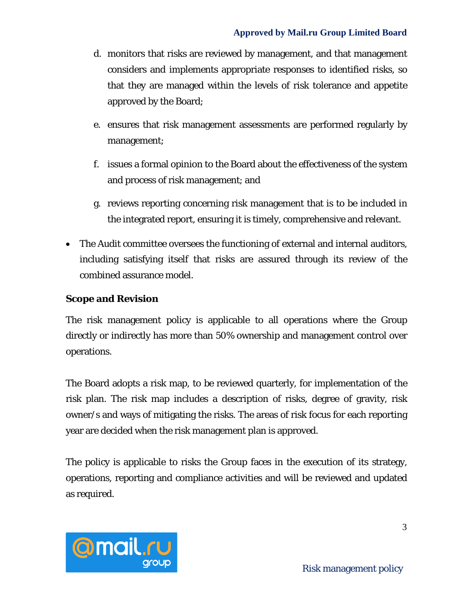- d. monitors that risks are reviewed by management, and that management considers and implements appropriate responses to identified risks, so that they are managed within the levels of risk tolerance and appetite approved by the Board;
- e. ensures that risk management assessments are performed regularly by management;
- f. issues a formal opinion to the Board about the effectiveness of the system and process of risk management; and
- g. reviews reporting concerning risk management that is to be included in the integrated report, ensuring it is timely, comprehensive and relevant.
- The Audit committee oversees the functioning of external and internal auditors, including satisfying itself that risks are assured through its review of the combined assurance model.

### **Scope and Revision**

The risk management policy is applicable to all operations where the Group directly or indirectly has more than 50% ownership and management control over operations.

The Board adopts a risk map, to be reviewed quarterly, for implementation of the risk plan. The risk map includes a description of risks, degree of gravity, risk owner/s and ways of mitigating the risks. The areas of risk focus for each reporting year are decided when the risk management plan is approved.

The policy is applicable to risks the Group faces in the execution of its strategy, operations, reporting and compliance activities and will be reviewed and updated as required.

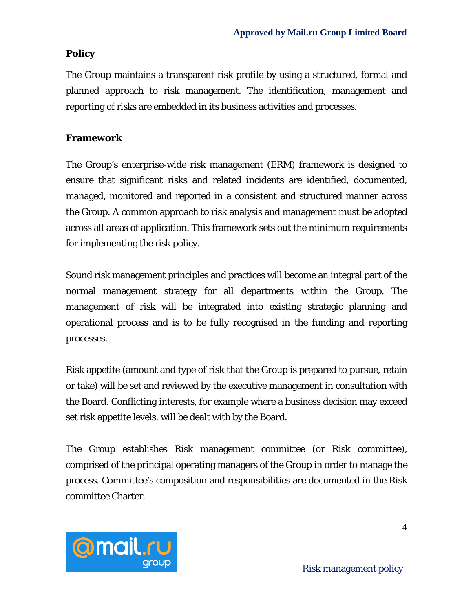# **Policy**

The Group maintains a transparent risk profile by using a structured, formal and planned approach to risk management. The identification, management and reporting of risks are embedded in its business activities and processes.

### **Framework**

The Group's enterprise-wide risk management (ERM) framework is designed to ensure that significant risks and related incidents are identified, documented, managed, monitored and reported in a consistent and structured manner across the Group. A common approach to risk analysis and management must be adopted across all areas of application. This framework sets out the minimum requirements for implementing the risk policy.

Sound risk management principles and practices will become an integral part of the normal management strategy for all departments within the Group. The management of risk will be integrated into existing strategic planning and operational process and is to be fully recognised in the funding and reporting processes.

Risk appetite (amount and type of risk that the Group is prepared to pursue, retain or take) will be set and reviewed by the executive management in consultation with the Board. Conflicting interests, for example where a business decision may exceed set risk appetite levels, will be dealt with by the Board.

The Group establishes Risk management committee (or Risk committee), comprised of the principal operating managers of the Group in order to manage the process. Committee's composition and responsibilities are documented in the Risk committee Charter.

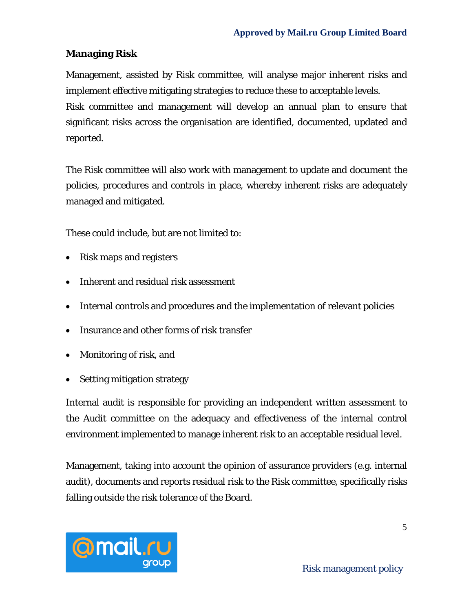### **Managing Risk**

Management, assisted by Risk committee, will analyse major inherent risks and implement effective mitigating strategies to reduce these to acceptable levels.

Risk committee and management will develop an annual plan to ensure that significant risks across the organisation are identified, documented, updated and reported.

The Risk committee will also work with management to update and document the policies, procedures and controls in place, whereby inherent risks are adequately managed and mitigated.

These could include, but are not limited to:

- Risk maps and registers
- Inherent and residual risk assessment
- Internal controls and procedures and the implementation of relevant policies
- Insurance and other forms of risk transfer
- Monitoring of risk, and
- Setting mitigation strategy

Internal audit is responsible for providing an independent written assessment to the Audit committee on the adequacy and effectiveness of the internal control environment implemented to manage inherent risk to an acceptable residual level.

Management, taking into account the opinion of assurance providers (e.g. internal audit), documents and reports residual risk to the Risk committee, specifically risks falling outside the risk tolerance of the Board.